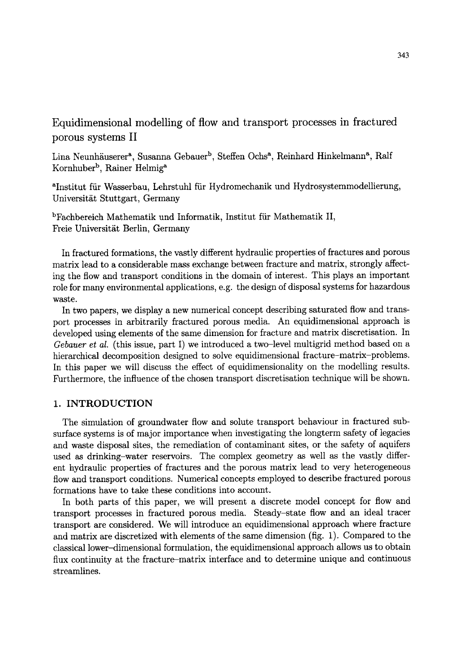Equidimensional modelling of flow and transport processes in fractured porous systems II

Lina Neunhäuserer<sup>a</sup>, Susanna Gebauer<sup>b</sup>, Steffen Ochs<sup>a</sup>, Reinhard Hinkelmann<sup>a</sup>, Ralf Kornhuber<sup>b</sup>, Rainer Helmig<sup>a</sup>

aInstitut fiir Wasserbau, Lehrstuhl fiir Hydromechanik und Hydrosystemmodellierung, Universität Stuttgart, Germany

bFachbereich Mathematik und Informatik, Institut fiir Mathematik II, Freie Universität Berlin, Germany

In fractured formations, the vastly different hydraulic properties of fractures and porous matrix lead to a considerable mass exchange between fracture and matrix, strongly affecting the flow and transport conditions in the domain of interest. This plays an important role for many environmental applications, e.g. the design of disposal systems for hazardous waste.

In two papers, we display a new numerical concept describing saturated flow and transport processes in arbitrarily fractured porous media. An equidimensional approach is developed using elements of the same dimension for fracture and matrix discretisation. In *Gebauer et al.* (this issue, part I) we introduced a two-level multigrid method based on a hierarchical decomposition designed to solve equidimensional fracture-matrix-problems. In this paper we will discuss the effect of equidimensionality on the modelling results. Furthermore, the influence of the chosen transport discretisation technique will be shown.

# 1. INTRODUCTION

The simulation of groundwater flow and solute transport behaviour in fractured subsurface systems is of major importance when investigating the longterm safety of legacies and waste disposal sites, the remediation of contaminant sites, or the safety of aquifers used as drinking-water reservoirs. The complex geometry as well as the vastly different hydraulic properties of fractures and the porous matrix lead to very heterogeneous flow and transport conditions. Numerical concepts employed to describe fractured porous formations have to take these conditions into account.

In both parts of this paper, we will present a discrete model concept for flow and transport processes in fractured porous media. Steady-state flow and an ideal tracer transport are considered. We will introduce an equidimensional approach where fracture and matrix are discretized with elements of the same dimension (fig. 1). Compared to the classical lower-dimensional formulation, the equidimensional approach allows us to obtain flux continuity at the fracture-matrix interface and to determine unique and continuous streamlines.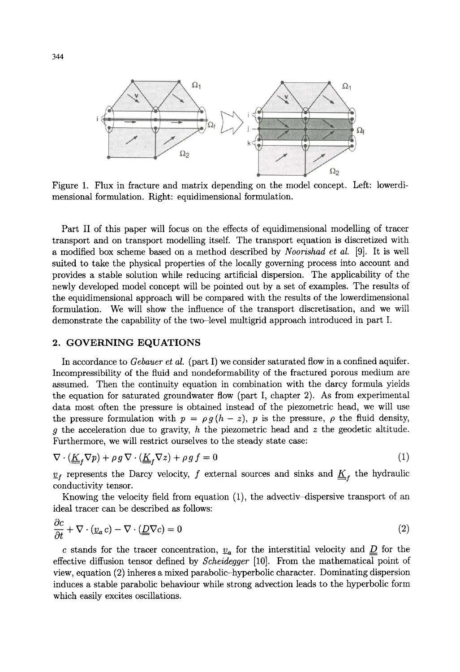

Figure 1. Flux in fracture and matrix depending on the model concept. Left: lowerdimensional formulation. Right: equidimensional formulation.

Part II of this paper will focus on the effects of equidimensional modelling of tracer transport and on transport modelling itself. The transport equation is discretized with a modified box scheme based on a method described by *Noorishad et al.* [9]. It is well suited to take the physical properties of the locally governing process into account and provides a stable solution while reducing artificial dispersion. The applicability of the newly developed model concept will be pointed out by a set of examples. The results of the equidimensional approach will be compared with the results of the lowerdimensional formulation. We will show the influence of the transport discretisation, and we will demonstrate the capability of the two-level multigrid approach introduced in part I.

#### 2. GOVERNING EQUATIONS

In accordance to *Gebauer et al.* (part I) we consider saturated flow in a confined aquifer. Incompressibility of the fluid and nondeformability of the fractured porous medium are assumed. Then the continuity equation in combination with the darcy formula yields the equation for saturated groundwater flow (part I, chapter 2). As from experimental data most often the pressure is obtained instead of the piezometric head, we will use the pressure formulation with  $p = \rho g (h - z)$ , p is the pressure,  $\rho$  the fluid density, g the acceleration due to gravity,  $h$  the piezometric head and  $z$  the geodetic altitude. Furthermore, we will restrict ourselves to the steady state case:

$$
\nabla \cdot (\underline{\underline{K}}_f \nabla p) + \rho g \, \nabla \cdot (\underline{\underline{K}}_f \nabla z) + \rho g \, f = 0 \tag{1}
$$

 $v_f$  represents the Darcy velocity, f external sources and sinks and  $\underline{K}_f$  the hydraulic conductivity tensor.

Knowing the velocity field from equation (1), the advectiv-dispersive transport of an ideal tracer can be described as follows:

$$
\frac{\partial c}{\partial t} + \nabla \cdot (\underline{v}_a c) - \nabla \cdot (\underline{D} \nabla c) = 0 \tag{2}
$$

c stands for the tracer concentration,  $\underline{v}_a$  for the interstitial velocity and  $\underline{D}$  for the effective diffusion tensor defined by *Scheidegger* [10]. From the mathematical point of view, equation (2) inheres a mixed parabolic-hyperbolic character. Dominating dispersion induces a stable parabolic behaviour while strong advection leads to the hyperbolic form which easily excites oscillations.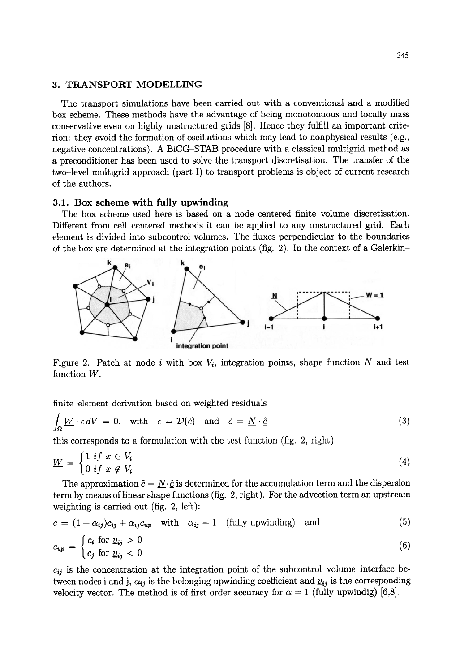## 3. TRANSPORT MODELLING

The transport simulations have been carried out with a conventional and a modified box scheme. These methods have the advantage of being monotonuous and locally mass conservative even on highly unstructured grids [8]. Hence they fulfill an important criterion: they avoid the formation of oscillations which may lead to nonphysical results (e.g., negative concentrations). A BiCG-STAB procedure with a classical multigrid method as a preconditioner has been used to solve the transport discretisation. The transfer of the two-level multigrid approach (part I) to transport problems is object of current research of the authors.

#### 3.1. Box scheme with fully upwinding

The box scheme used here is based on a node centered finite-volume discretisation. Different from cell-centered methods it can be applied to any unstructured grid. Each element is divided into subcontrol volumes. The fluxes perpendicular to the boundaries of the box are determined at the integration points (fig. 2). In the context of a Galerkin-



Figure 2. Patch at node i with box  $V_i$ , integration points, shape function N and test function W.

finite-element derivation based on weighted residuals

$$
\int_{\Omega} \underline{W} \cdot \epsilon \, dV = 0, \quad \text{with} \quad \epsilon = \mathcal{D}(\tilde{c}) \quad \text{and} \quad \tilde{c} = \underline{N} \cdot \hat{\underline{c}} \tag{3}
$$

this corresponds to a formulation with the test function (fig. 2, right)

$$
\underline{W} = \begin{cases} 1 & \text{if } x \in V_i \\ 0 & \text{if } x \notin V_i \end{cases} \tag{4}
$$

The approximation  $\tilde{c} = N \cdot \hat{c}$  is determined for the accumulation term and the dispersion term by means of linear shape functions (fig. 2, right). For the advection term an upstream weighting is carried out (fig. 2, left):

$$
c = (1 - \alpha_{ij})c_{ij} + \alpha_{ij}c_{up} \quad \text{with} \quad \alpha_{ij} = 1 \quad \text{(fully upwinding)} \quad \text{and}
$$
\n
$$
c_{up} = \begin{cases} c_i & \text{for } \underline{v}_{ij} > 0 \\ c_j & \text{for } \underline{v}_{ij} < 0 \end{cases} \tag{6}
$$

$$
c_{ij}
$$
 is the concentration at the integration point of the subcontrol-volume–interface be-  
tween nodes i and j,  $\alpha_{ij}$  is the belonging upwinding coefficient and  $\underline{v}_{ij}$  is the corresponding  
velocity vector. The method is of first order accuracy for  $\alpha = 1$  (fully upwinding) [6,8].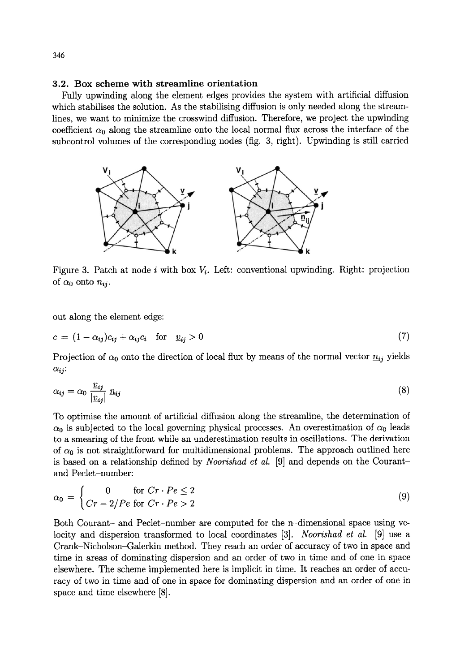## **3.2. Box scheme with streamline orientation**

Fully upwinding along the element edges provides the system with artificial diffusion which stabilises the solution. As the stabilising diffusion is only needed along the streamlines, we want to minimize the crosswind diffusion. Therefore, we project the upwinding coefficient  $\alpha_0$  along the streamline onto the local normal flux across the interface of the subcontrol volumes of the corresponding nodes (fig. 3, right). Upwinding is still carried



Figure 3. Patch at node i with box  $V_i$ . Left: conventional upwinding. Right: projection of  $\alpha_0$  onto  $n_{ii}$ .

out along the element edge:

$$
c = (1 - \alpha_{ij})c_{ij} + \alpha_{ij}c_i \quad \text{for} \quad \underline{v}_{ij} > 0 \tag{7}
$$

Projection of  $\alpha_0$  onto the direction of local flux by means of the normal vector  $n_{ij}$  yields  $\alpha_{ij}$ :

$$
\alpha_{ij} = \alpha_0 \frac{v_{ij}}{|v_{ij}|} n_{ij} \tag{8}
$$

To optimise the amount of artificial diffusion along the streamline, the determination of  $\alpha_0$  is subjected to the local governing physical processes. An overestimation of  $\alpha_0$  leads to a smearing of the front while an underestimation results in oscillations. The derivation of  $\alpha_0$  is not straightforward for multidimensional problems. The approach outlined here is based on a relationship defined by *Noorishad et al.* [9] and depends on the Courantand Peclet-number:

$$
\alpha_0 = \begin{cases}\n0 & \text{for } Cr \cdot Pe \le 2 \\
Cr - 2/Pe \text{ for } Cr \cdot Pe > 2\n\end{cases}
$$
\n(9)

Both Courant- and Peclet-number are computed for the n-dimensional space using velocity and dispersion transformed to local coordinates [3]. *Noorishad et al.* [9] use a Crank-Nicholson-Galerkin method. They reach an order of accuracy of two in space and time in areas of dominating dispersion and an order of two in time and of one in space elsewhere. The scheme implemented here is implicit in time. It reaches an order of accuracy of two in time and of one in space for dominating dispersion and an order of one in space and time elsewhere [8].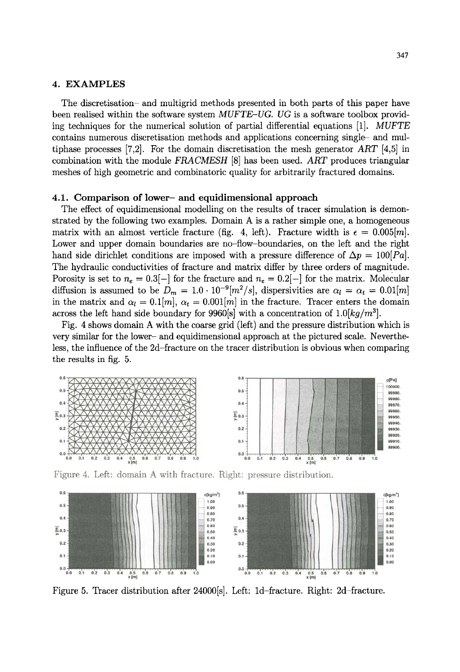#### **4. EXAMPLES**

**The discretisation- and multigrid methods presented in both parts of this paper have been realised within the software system** *MUFTE-UG. UG* **is a software toolbox providing techniques for the numerical solution of partial differential equations [1].** *MUFTE*  **contains numerous discretisation methods and applications concerning single- and multiphase processes [7,2]. For the domain discretisation the mesh generator** *ART* **[4,5] in combination with the module** *FRACMESH* **[8] has been used.** *ART* **produces triangular meshes of high geometric and combinatoric quality for arbitrarily fractured domains.** 

#### **4.1. Comparison of lower- and equidimensional approach**

**The effect of equidimensional modelling on the results of tracer simulation is demonstrated by the following two examples. Domain A is a rather simple one, a homogeneous**  matrix with an almost verticle fracture (fig. 4, left). Fracture width is  $\epsilon = 0.005[m]$ . Lower and upper domain boundaries are no-flow-boundaries, on the left and the right hand side dirichlet conditions are imposed with a pressure difference of  $\Delta p = 100|Pa|$ . **The hydraulic conductivities of fracture and matrix differ by three orders of magnitude.**  Porosity is set to  $n_e = 0.3[-]$  for the fracture and  $n_e = 0.2[-]$  for the matrix. Molecular diffusion is assumed to be  $D_m = 1.0 \cdot 10^{-9} [m^2/s]$ , dispersivities are  $\alpha_l = \alpha_t = 0.01 [m]$ in the matrix and  $\alpha_l = 0.1[m], \alpha_t = 0.001[m]$  in the fracture. Tracer enters the domain across the left hand side boundary for 9960[s] with a concentration of  $1.0[kq/m^3]$ .

**Fig. 4 shows domain A with the coarse grid (left) and the pressure distribution which is very similar for the lower- and equidimensional approach at the pictured scale. Nevertheless, the influence of the 2d-fracture on the tracer distribution is obvious when comparing the results in fig. 5.** 







**Figure 5. Tracer distribution after 24000[s]. Left: 1d-fracture. Right: 2d-fracture.**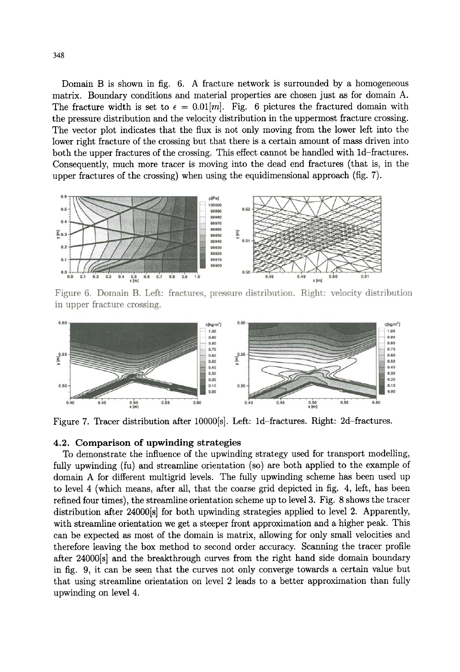**Domain** B is **shown in fig.** 6. A **fracture network is surrounded by a homogeneous matrix. Boundary conditions and material properties are** chosen just as **for domain** A. The fracture width is set to  $\epsilon = 0.01[m]$ . Fig. 6 pictures the fractured domain with **the pressure distribution and the velocity distribution in the uppermost fracture** crossing. **The vector plot indicates that the** flux is **not only moving from the lower left into the lower right fracture of the crossing but that there** is a **certain amount** of mass **driven into**  both the upper fractures of the crossing. This effect cannot be handled with 1d-fractures. **Consequently, much more tracer is moving into the dead end fractures (that is, in the upper fractures of the crossing) when using the equidimensional approach** (fig. 7).



Figure 6. Domain B. Left: fractures, pressure distribution. Right: velocity distribution **in upper fracture** crossing.



Figure 7. Tracer distribution after 10000[s]. Left: 1d-fractures. Right: 2d-fractures.

### **4.2. Comparison of upwinding strategies**

**To demonstrate the influence of the upwinding strategy used for transport modelling,**  fully upwinding (fu) and streamline orientation (so) are both applied to the example of **domain A for different multigrid levels. The fully upwinding scheme has been used up to level 4 (which means, after all, that the coarse grid depicted in fig. 4, left, has been refined four times), the streamline orientation scheme up to level 3. Fig. 8 shows the tracer distribution after 24000[s] for both upwinding strategies applied to level 2. Apparently, with streamline orientation we get a steeper front approximation and a higher peak. This can be expected as most of the domain is matrix, allowing for only small velocities and therefore leaving the box method to second order accuracy. Scanning the tracer profile after 24000[s] and the breakthrough curves from the right hand side domain boundary in fig. 9, it can be seen that the curves not only converge towards a certain value but that using streamline orientation on level 2 leads to a better approximation than fully upwinding on level 4.**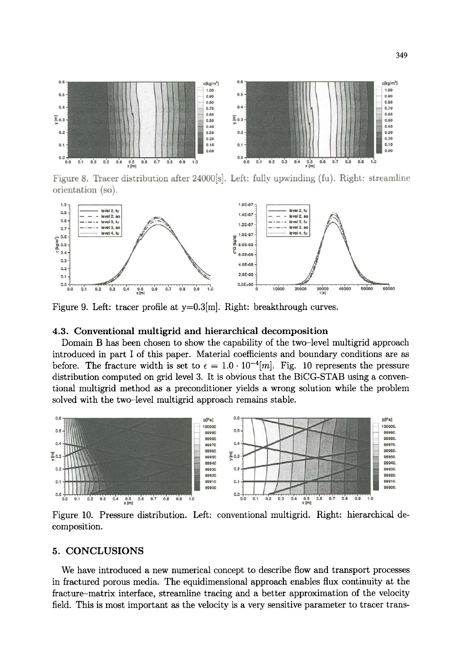

Figure 8. Tracer distribution after 24000<sup>[s]</sup>. Left: fully upwinding (fu). Right: streamline **orientation (so).** 



Figure 9. Left: tracer profile at  $y=0.3$ [m]. Right: breakthrough curves.

#### **4.3. Conventional multigrid and hierarchical decomposition**

**Domain B has been chosen to show the capability of the two-level multigrid approach introduced in part I of this paper. Material coefficients and boundary conditions are as**  before. The fracture width is set to  $\epsilon = 1.0 \cdot 10^{-4}[m]$ . Fig. 10 represents the pressure **distribution computed on grid level 3. It is obvious that the BiCG-STAB using a conventional multigrid method as a preconditioner yields a wrong solution while the problem solved with the two-level multigrid approach remains stable.** 



Figure 10. Pressure distribution. Left: conventional multigrid. Right: hierarchical de**composition.** 

## **5. CONCLUSIONS**

**We have introduced a new numerical concept to describe flow and transport processes in fractured porous media. The equidimensional approach enables flux continuity at the fracture-matrix interface, streamline tracing and a better approximation of the velocity field. This is most important as the velocity is a very sensitive parameter to tracer trans-**